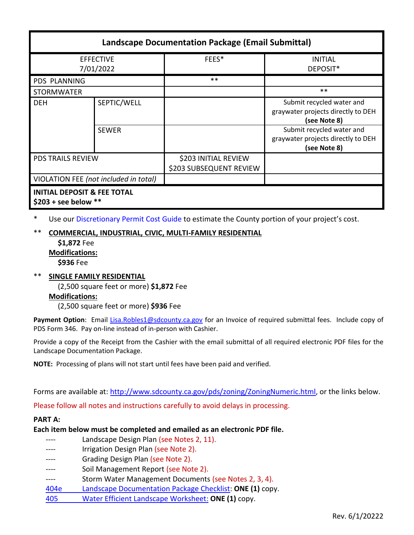| <b>Landscape Documentation Package (Email Submittal)</b>         |              |                                                 |                                                                                 |  |
|------------------------------------------------------------------|--------------|-------------------------------------------------|---------------------------------------------------------------------------------|--|
| <b>EFFECTIVE</b><br>7/01/2022                                    |              | FEES*                                           | <b>INITIAL</b><br>DEPOSIT*                                                      |  |
| <b>PDS PLANNING</b>                                              |              | $***$                                           |                                                                                 |  |
| <b>STORMWATER</b>                                                |              |                                                 | $***$                                                                           |  |
| <b>DEH</b>                                                       | SEPTIC/WELL  |                                                 | Submit recycled water and<br>graywater projects directly to DEH<br>(see Note 8) |  |
|                                                                  | <b>SEWER</b> |                                                 | Submit recycled water and<br>graywater projects directly to DEH<br>(see Note 8) |  |
| <b>PDS TRAILS REVIEW</b>                                         |              | \$203 INITIAL REVIEW<br>\$203 SUBSEQUENT REVIEW |                                                                                 |  |
| VIOLATION FEE (not included in total)                            |              |                                                 |                                                                                 |  |
| <b>INITIAL DEPOSIT &amp; FEE TOTAL</b><br>\$203 + see below $**$ |              |                                                 |                                                                                 |  |

\* Use ou[r Discretionary Permit Cost Guide](http://www.sandiegocounty.gov/content/dam/sdc/pds/docs/Discretionary_Permit_Cost_Guide.xlsx) to estimate the County portion of your project's cost.

# **COMMERCIAL, INDUSTRIAL, CIVIC, MULTI-FAMILY RESIDENTIAL**

**\$1,872** Fee **Modifications:**

**\$936** Fee

\*\* **SINGLE FAMILY RESIDENTIAL** (2,500 square feet or more) **\$1,872** Fee **Modifications:**

(2,500 square feet or more) **\$936** Fee

Payment Option: Email [Lisa.Robles1@sdcounty.ca.gov](mailto:Lisa.Robles1@sdcounty.ca.gov) for an Invoice of required submittal fees. Include copy of PDS Form 346. Pay on-line instead of in-person with Cashier.

Provide a copy of the Receipt from the Cashier with the email submittal of all required electronic PDF files for the Landscape Documentation Package.

**NOTE:** Processing of plans will not start until fees have been paid and verified.

Forms are available at[: http://www.sdcounty.ca.gov/pds/zoning/ZoningNumeric.html,](http://www.sdcounty.ca.gov/pds/zoning/ZoningNumeric.html) or the links below.

Please follow all notes and instructions carefully to avoid delays in processing.

# **PART A:**

**Each item below must be completed and emailed as an electronic PDF file.**

|      | Landscape Design Plan (see Notes 2, 11).                 |
|------|----------------------------------------------------------|
|      | Irrigation Design Plan (see Note 2).                     |
|      | Grading Design Plan (see Note 2).                        |
|      | Soil Management Report (see Note 2).                     |
|      | Storm Water Management Documents (see Notes 2, 3, 4).    |
| 404e | Landscape Documentation Package Checklist: ONE (1) copy. |
| 405  | Water Efficient Landscape Worksheet: ONE (1) copy.       |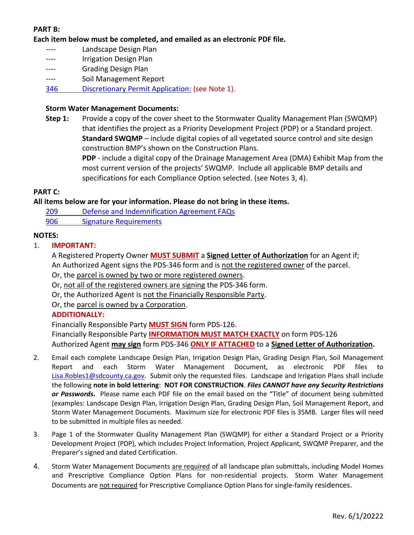# **PART B:**

**Each item below must be completed, and emailed as an electronic PDF file.**

- ---- Landscape Design Plan
- ---- **Irrigation Design Plan**
- ---- Grading Design Plan
- ---- Soil Management Report
- 346 [Discretionary Permit Application:](https://www.sandiegocounty.gov/content/dam/sdc/pds/zoning/formfields/PDS-PLN-346.pdf) (see Note 1).

#### **Storm Water Management Documents:**

**Step 1:** Provide a copy of the cover sheet to the Stormwater Quality Management Plan (SWQMP) that identifies the project as a Priority Development Project (PDP) or a Standard project. **Standard SWQMP** – include digital copies of all vegetated source control and site design construction BMP's shown on the Construction Plans.

> **PDP** - include a digital copy of the Drainage Management Area (DMA) Exhibit Map from the most current version of the projects' SWQMP. Include all applicable BMP details and specifications for each Compliance Option selected. (see Notes 3, 4).

#### **PART C:**

### **All items below are for your information. Please do not bring in these items.**

- 209 [Defense and Indemnification](https://www.sandiegocounty.gov/content/dam/sdc/pds/zoning/formfields/PDS-PLN-209.pdf) Agreement FAQs
- [906 Signature Requirements](https://www.sandiegocounty.gov/content/dam/sdc/pds/zoning/formfields/PDS-PLN-906.pdf)

#### **NOTES:**

## 1. **IMPORTANT:**

- A Registered Property Owner **MUST SUBMIT** a **Signed Letter of Authorization** for an Agent if; An Authorized Agent signs the PDS-346 form and is not the registered owner of the parcel.
- Or, the parcel is owned by two or more registered owners.
- Or, not all of the registered owners are signing the PDS-346 form.
- Or, the Authorized Agent is not the Financially Responsible Party.
- Or, the parcel is owned by a Corporation.

### **ADDITIONALLY:**

Financially Responsible Party **MUST SIGN** form PDS-126. Financially Responsible Party **INFORMATION MUST MATCH EXACTLY** on form PDS-126 Authorized Agent **may sign** form PDS-346 **ONLY IF ATTACHED** to a **Signed Letter of Authorization.**

- 2. Email each complete Landscape Design Plan, Irrigation Design Plan, Grading Design Plan, Soil Management Report and each Storm Water Management Document, as electronic PDF files [Lisa.Robles1@sdcounty.ca.gov.](mailto:Lisa.Robles1@sdcounty.ca.gov) Submit only the requested files. Landscape and Irrigation Plans shall include the following **note in bold lettering**: **NOT FOR CONSTRUCTION**. *Files CANNOT have any Security Restrictions or Passwords.* Please name each PDF file on the email based on the "Title" of document being submitted (examples: Landscape Design Plan, Irrigation Design Plan, Grading Design Plan, Soil Management Report, and Storm Water Management Documents. Maximum size for electronic PDF files is 35MB. Larger files will need to be submitted in multiple files as needed.
- 3. Page 1 of the Stormwater Quality Management Plan (SWQMP) for either a Standard Project or a Priority Development Project (PDP), which includes Project Information, Project Applicant, SWQMP Preparer, and the Preparer's signed and dated Certification.
- 4. Storm Water Management Documents are required of all landscape plan submittals, including Model Homes and Prescriptive Compliance Option Plans for non-residential projects. Storm Water Management Documents are not required for Prescriptive Compliance Option Plans for single-family residences.